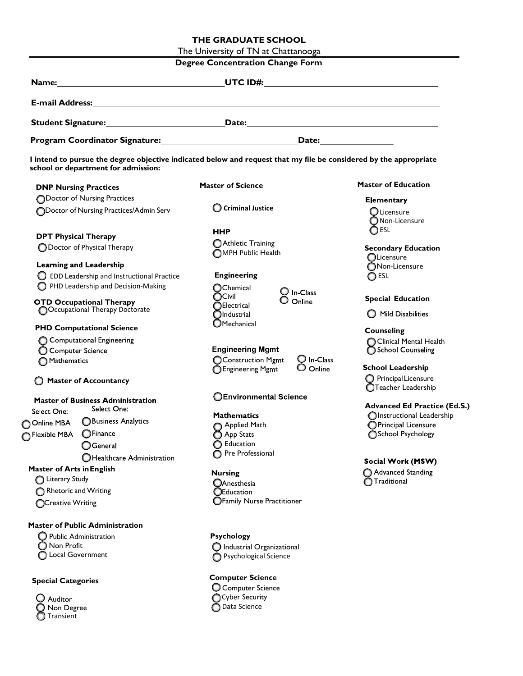## THE GRADUATE SCHOOL

The University of TN at Chattanooga

| <b>Degree Concentration Change Form</b>                           |                                        |                                                                                                                                                                                                                                |                                                    |
|-------------------------------------------------------------------|----------------------------------------|--------------------------------------------------------------------------------------------------------------------------------------------------------------------------------------------------------------------------------|----------------------------------------------------|
| Name:                                                             |                                        | UTC ID#: the contract of the contract of the contract of the contract of the contract of the contract of the contract of the contract of the contract of the contract of the contract of the contract of the contract of the c |                                                    |
|                                                                   |                                        | E-mail Address: Universe and Address and Address and Address and Address and Address and Address and Address and Address and Address and Address and Address and Address and Address and Address and Address and Address and A |                                                    |
|                                                                   |                                        |                                                                                                                                                                                                                                |                                                    |
|                                                                   |                                        |                                                                                                                                                                                                                                |                                                    |
|                                                                   | school or department for admission:    | I intend to pursue the degree objective indicated below and request that my file be considered by the appropriate                                                                                                              |                                                    |
| <b>DNP Nursing Practices</b>                                      |                                        | <b>Master of Science</b>                                                                                                                                                                                                       | <b>Master of Education</b>                         |
| <b>ODoctor of Nursing Practices</b>                               |                                        |                                                                                                                                                                                                                                | <b>Elementary</b>                                  |
| ODoctor of Nursing Practices/Admin Serv                           |                                        | C Criminal Justice                                                                                                                                                                                                             | $\bigcirc$ Licensure<br>$\bigcirc$ Non-Licensure   |
| <b>DPT Physical Therapy</b>                                       |                                        | <b>HHP</b>                                                                                                                                                                                                                     | OESL                                               |
| ◯ Doctor of Physical Therapy                                      |                                        | Athletic Training<br>OMPH Public Health                                                                                                                                                                                        | <b>Secondary Education</b><br><b>OLicensure</b>    |
| <b>Learning and Leadership</b>                                    |                                        |                                                                                                                                                                                                                                | ONon-Licensure                                     |
| <b>D</b> EDD Leadership and Instructional Practice                |                                        | <b>Engineering</b>                                                                                                                                                                                                             | ◯ ESL                                              |
| PHD Leadership and Decision-Making                                |                                        | OChemical<br>$\bigcirc$ In-Class<br><b>OCivil</b><br>$\mathsf O$ Online                                                                                                                                                        | <b>Special Education</b>                           |
| <b>OTD Occupational Therapy</b><br>OCcupational Therapy Doctorate |                                        | <b>OElectrical</b><br>$\bigcirc$ Industrial                                                                                                                                                                                    | Mild Disabilities                                  |
| <b>PHD Computational Science</b>                                  |                                        | $\bigcirc$ Mechanical                                                                                                                                                                                                          | <b>Counseling</b>                                  |
| Computational Engineering                                         |                                        |                                                                                                                                                                                                                                | Clinical Mental Health                             |
| Computer Science                                                  |                                        | <b>Engineering Mgmt</b>                                                                                                                                                                                                        | School Counseling                                  |
| Mathematics                                                       |                                        | O In-Class<br>CConstruction Mgmt<br>O Online<br><b>B</b> Engineering Mgmt                                                                                                                                                      | <b>School Leadership</b>                           |
| C Master of Accountancy                                           |                                        |                                                                                                                                                                                                                                | O Principal Licensure<br>OTeacher Leadership       |
| <b>Master of Business Administration</b>                          |                                        | <b>OEnvironmental Science</b>                                                                                                                                                                                                  |                                                    |
| Select One:                                                       | Select One:                            |                                                                                                                                                                                                                                | <b>Advanced Ed Practice (Ed.S.)</b>                |
| O Online MBA                                                      | Business Analytics                     | <b>Mathematics</b><br>Applied Math                                                                                                                                                                                             | OInstructional Leadership<br>O Principal Licensure |
| Flexible MBA                                                      | OFinance                               | App Stats                                                                                                                                                                                                                      | School Psychology                                  |
|                                                                   | $\bigcirc$ General                     | G Education                                                                                                                                                                                                                    |                                                    |
|                                                                   | OHealthcare Administration             | <b>O</b> Pre Professional                                                                                                                                                                                                      |                                                    |
|                                                                   |                                        |                                                                                                                                                                                                                                | Social Work (MSW)                                  |
| <b>Master of Arts in English</b><br>Literary Study                |                                        | <b>Nursing</b>                                                                                                                                                                                                                 | Advanced Standing                                  |
| Rhetoric and Writing                                              |                                        | <b>OAnesthesia</b><br><b>OEducation</b>                                                                                                                                                                                        | Traditional                                        |
| <b>OCreative Writing</b>                                          |                                        | <b>OFamily Nurse Practitioner</b>                                                                                                                                                                                              |                                                    |
|                                                                   | <b>Master of Public Administration</b> |                                                                                                                                                                                                                                |                                                    |
| <b>Public Administration</b><br>O                                 |                                        | <b>Psychology</b>                                                                                                                                                                                                              |                                                    |
| Non Profit                                                        |                                        | $\bigcirc$ Industrial Organizational                                                                                                                                                                                           |                                                    |
| Local Government                                                  |                                        | <b>O</b> Psychological Science                                                                                                                                                                                                 |                                                    |
| <b>Special Categories</b>                                         |                                        | <b>Computer Science</b>                                                                                                                                                                                                        |                                                    |
|                                                                   |                                        | C Computer Science<br>Cyber Security                                                                                                                                                                                           |                                                    |
| $\bigcup$ Auditor                                                 |                                        | ◯ Data Science                                                                                                                                                                                                                 |                                                    |
| Non Degree                                                        |                                        |                                                                                                                                                                                                                                |                                                    |

Transient